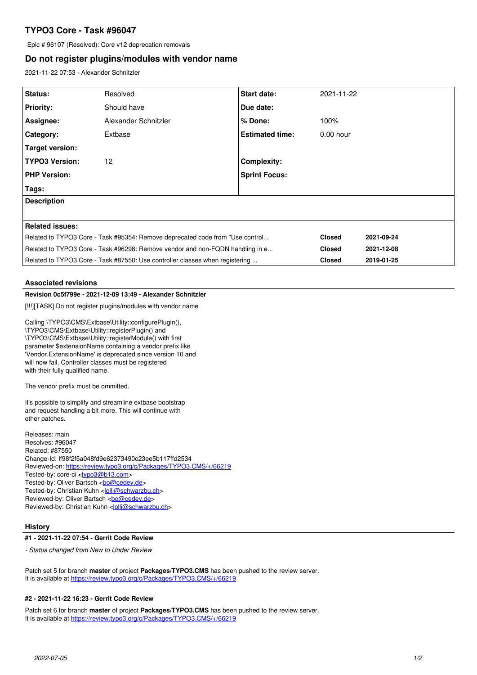# **TYPO3 Core - Task #96047**

Epic # 96107 (Resolved): Core v12 deprecation removals

## **Do not register plugins/modules with vendor name**

2021-11-22 07:53 - Alexander Schnitzler

| Status:                                                                       | Resolved             | <b>Start date:</b>     | 2021-11-22    |            |
|-------------------------------------------------------------------------------|----------------------|------------------------|---------------|------------|
| <b>Priority:</b>                                                              | Should have          | Due date:              |               |            |
| Assignee:                                                                     | Alexander Schnitzler | I% Done:               | 100%          |            |
| Category:                                                                     | Extbase              | <b>Estimated time:</b> | $0.00$ hour   |            |
| Target version:                                                               |                      |                        |               |            |
| <b>TYPO3 Version:</b>                                                         | 12                   | <b>Complexity:</b>     |               |            |
| <b>PHP Version:</b>                                                           |                      | <b>Sprint Focus:</b>   |               |            |
| Tags:                                                                         |                      |                        |               |            |
| <b>Description</b>                                                            |                      |                        |               |            |
|                                                                               |                      |                        |               |            |
| Related issues:                                                               |                      |                        |               |            |
| Related to TYPO3 Core - Task #95354: Remove deprecated code from "Use control |                      |                        | <b>Closed</b> | 2021-09-24 |
| Related to TYPO3 Core - Task #96298: Remove vendor and non-FQDN handling in e |                      |                        | <b>Closed</b> | 2021-12-08 |
| Related to TYPO3 Core - Task #87550: Use controller classes when registering  |                      |                        | <b>Closed</b> | 2019-01-25 |

#### **Associated revisions**

## **Revision 0c5f799e - 2021-12-09 13:49 - Alexander Schnitzler**

[!!!][TASK] Do not register plugins/modules with vendor name

Calling \TYPO3\CMS\Extbase\Utility::configurePlugin(), \TYPO3\CMS\Extbase\Utility::registerPlugin() and \TYPO3\CMS\Extbase\Utility::registerModule() with first parameter \$extensionName containing a vendor prefix like 'Vendor.ExtensionName' is deprecated since version 10 and will now fail. Controller classes must be registered with their fully qualified name.

The vendor prefix must be ommitted.

It's possible to simplify and streamline extbase bootstrap and request handling a bit more. This will continue with other patches.

Releases: main Resolves: #96047 Related: #87550 Change-Id: If98f2f5a048fd9e62373490c23ee5b117ffd2534 Reviewed-on:<https://review.typo3.org/c/Packages/TYPO3.CMS/+/66219> Tested-by: core-ci <tvpo3@b13.com> Tested-by: Oliver Bartsch <br/> <br/> <br/> <br/> <br/> <br/> <br/> <br/> <br/> <br/> <br/> <br/> <br/> <br/> <br/> <br/> <br/><br/><br/><br/> $\frac{1}{2}$ Tested-by: Christian Kuhn <[lolli@schwarzbu.ch](mailto:lolli@schwarzbu.ch)> Reviewed-by: Oliver Bartsch <br/> <br/> <br/> <br/> <br/> <br/> <br/> <br/> <br/> <br/> <br/><br/> $\frac{1}{2}$ Reviewed-by: Christian Kuhn [<lolli@schwarzbu.ch>](mailto:lolli@schwarzbu.ch)

## **History**

#### **#1 - 2021-11-22 07:54 - Gerrit Code Review**

*- Status changed from New to Under Review*

Patch set 5 for branch **master** of project **Packages/TYPO3.CMS** has been pushed to the review server. It is available at <https://review.typo3.org/c/Packages/TYPO3.CMS/+/66219>

## **#2 - 2021-11-22 16:23 - Gerrit Code Review**

Patch set 6 for branch **master** of project **Packages/TYPO3.CMS** has been pushed to the review server. It is available at <https://review.typo3.org/c/Packages/TYPO3.CMS/+/66219>